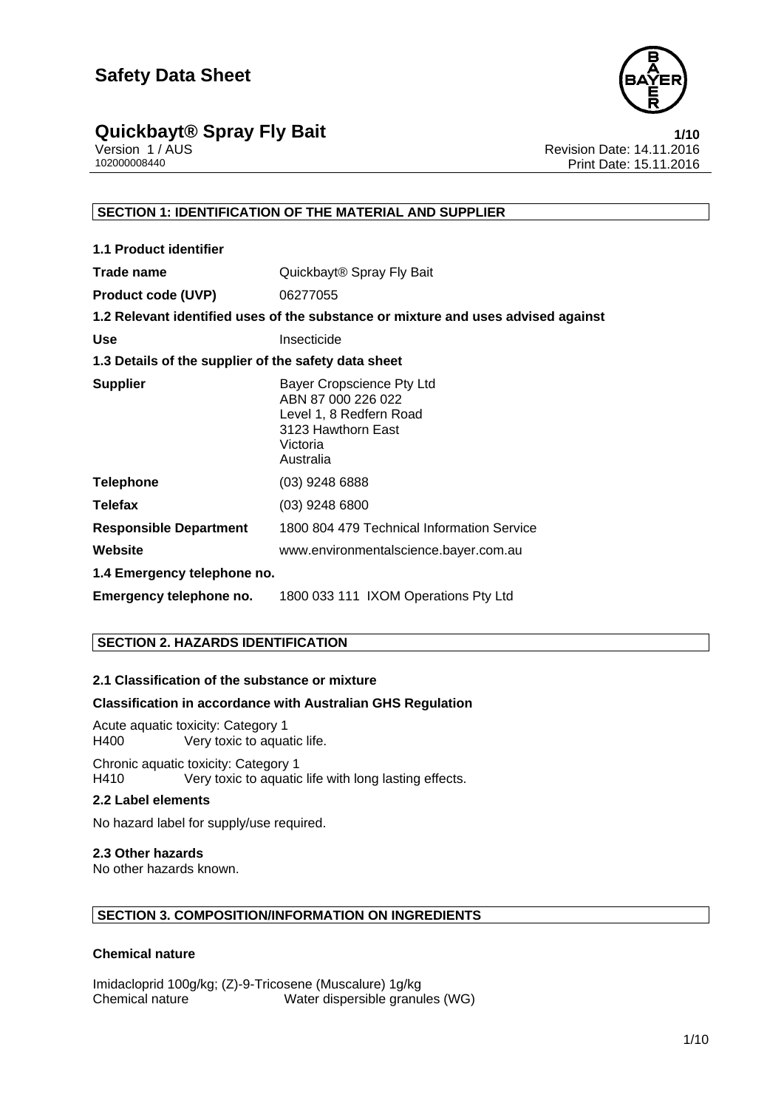

# **Quickbayt® Spray Fly Bait**<br>**1/10** Version 1/AUS **1/10** Version 1/AUS

Version 1 / AUS Revision Date: 14.11.2016 Print Date: 15.11.2016

# **SECTION 1: IDENTIFICATION OF THE MATERIAL AND SUPPLIER**

| 1.1 Product identifier                               |                                                                                                                           |  |
|------------------------------------------------------|---------------------------------------------------------------------------------------------------------------------------|--|
| Trade name                                           | Quickbayt <sup>®</sup> Spray Fly Bait                                                                                     |  |
| <b>Product code (UVP)</b>                            | 06277055                                                                                                                  |  |
|                                                      | 1.2 Relevant identified uses of the substance or mixture and uses advised against                                         |  |
| <b>Use</b>                                           | Insecticide                                                                                                               |  |
| 1.3 Details of the supplier of the safety data sheet |                                                                                                                           |  |
| <b>Supplier</b>                                      | Bayer Cropscience Pty Ltd<br>ABN 87 000 226 022<br>Level 1, 8 Redfern Road<br>3123 Hawthorn East<br>Victoria<br>Australia |  |
| <b>Telephone</b>                                     | (03) 9248 6888                                                                                                            |  |
| <b>Telefax</b>                                       | $(03)$ 9248 6800                                                                                                          |  |
| <b>Responsible Department</b>                        | 1800 804 479 Technical Information Service                                                                                |  |
| Website                                              | www.environmentalscience.bayer.com.au                                                                                     |  |
| 1.4 Emergency telephone no.                          |                                                                                                                           |  |
| Emergency telephone no.                              | 1800 033 111 IXOM Operations Pty Ltd                                                                                      |  |

# **SECTION 2. HAZARDS IDENTIFICATION**

# **2.1 Classification of the substance or mixture**

# **Classification in accordance with Australian GHS Regulation**

Acute aquatic toxicity: Category 1 Very toxic to aquatic life.

Chronic aquatic toxicity: Category 1<br>H410 Very toxic to aquatic Very toxic to aquatic life with long lasting effects.

# **2.2 Label elements**

No hazard label for supply/use required.

#### **2.3 Other hazards**

No other hazards known.

# **SECTION 3. COMPOSITION/INFORMATION ON INGREDIENTS**

#### **Chemical nature**

Imidacloprid 100g/kg; (Z)-9-Tricosene (Muscalure) 1g/kg Chemical nature Water dispersible granules (WG)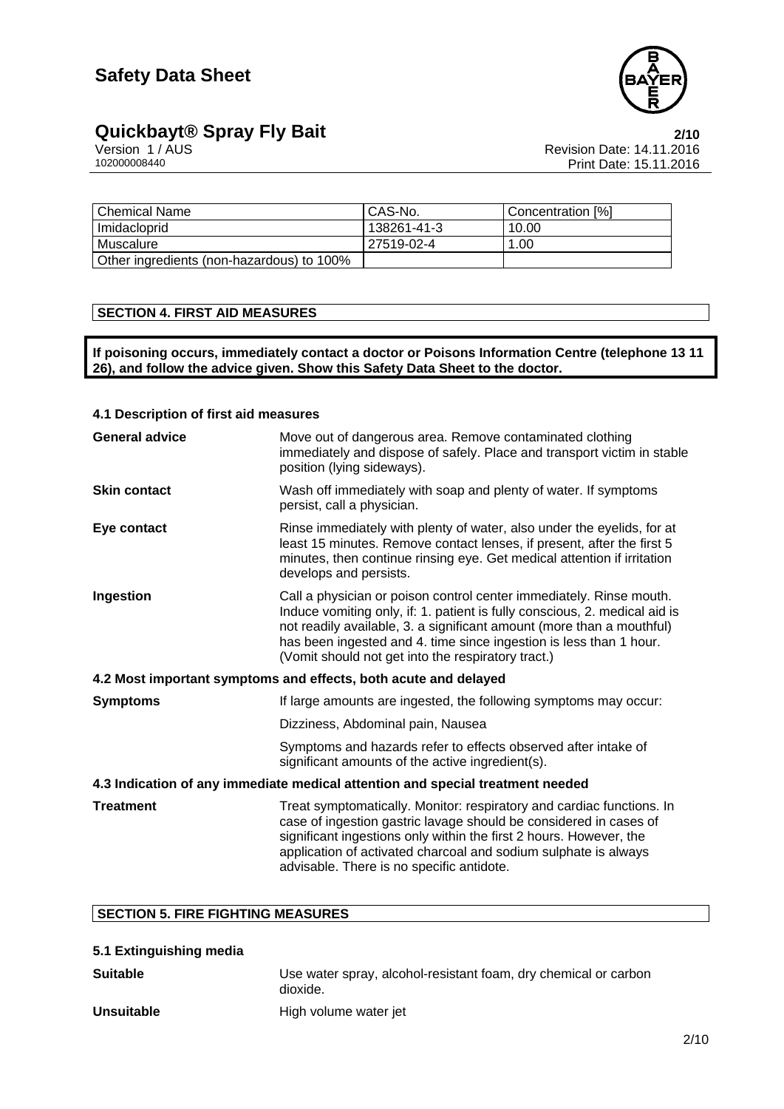

# **Quickbayt® Spray Fly Bait**<br>
Version 1/AUS **2/10**<br>
Revision Date: 14.11.2016

Version 1 / AUS Revision Date: 14.11.2016 Print Date: 15.11.2016

| Chemical Name                             | CAS-No.     | l Concentration [%] |
|-------------------------------------------|-------------|---------------------|
| l Imidacloprid                            | 138261-41-3 | 10.00               |
| l Muscalure                               | 27519-02-4  | 1.00                |
| Other ingredients (non-hazardous) to 100% |             |                     |

# **SECTION 4. FIRST AID MEASURES**

**If poisoning occurs, immediately contact a doctor or Poisons Information Centre (telephone 13 11 26), and follow the advice given. Show this Safety Data Sheet to the doctor.** 

### **4.1 Description of first aid measures**

| <b>General advice</b>                                                          | Move out of dangerous area. Remove contaminated clothing<br>immediately and dispose of safely. Place and transport victim in stable<br>position (lying sideways).                                                                                                                                                                                      |  |
|--------------------------------------------------------------------------------|--------------------------------------------------------------------------------------------------------------------------------------------------------------------------------------------------------------------------------------------------------------------------------------------------------------------------------------------------------|--|
| <b>Skin contact</b>                                                            | Wash off immediately with soap and plenty of water. If symptoms<br>persist, call a physician.                                                                                                                                                                                                                                                          |  |
| Eye contact                                                                    | Rinse immediately with plenty of water, also under the eyelids, for at<br>least 15 minutes. Remove contact lenses, if present, after the first 5<br>minutes, then continue rinsing eye. Get medical attention if irritation<br>develops and persists.                                                                                                  |  |
| Ingestion                                                                      | Call a physician or poison control center immediately. Rinse mouth.<br>Induce vomiting only, if: 1. patient is fully conscious, 2. medical aid is<br>not readily available, 3. a significant amount (more than a mouthful)<br>has been ingested and 4. time since ingestion is less than 1 hour.<br>(Vomit should not get into the respiratory tract.) |  |
| 4.2 Most important symptoms and effects, both acute and delayed                |                                                                                                                                                                                                                                                                                                                                                        |  |
| <b>Symptoms</b>                                                                | If large amounts are ingested, the following symptoms may occur:                                                                                                                                                                                                                                                                                       |  |
|                                                                                | Dizziness, Abdominal pain, Nausea                                                                                                                                                                                                                                                                                                                      |  |
|                                                                                | Symptoms and hazards refer to effects observed after intake of<br>significant amounts of the active ingredient(s).                                                                                                                                                                                                                                     |  |
| 4.3 Indication of any immediate medical attention and special treatment needed |                                                                                                                                                                                                                                                                                                                                                        |  |
| <b>Treatment</b>                                                               | Treat symptomatically. Monitor: respiratory and cardiac functions. In<br>case of ingestion gastric lavage should be considered in cases of<br>significant ingestions only within the first 2 hours. However, the<br>application of activated charcoal and sodium sulphate is always<br>advisable. There is no specific antidote.                       |  |

### **SECTION 5. FIRE FIGHTING MEASURES**

| 5.1 Extinguishing media |                                                                             |
|-------------------------|-----------------------------------------------------------------------------|
| Suitable                | Use water spray, alcohol-resistant foam, dry chemical or carbon<br>dioxide. |
| <b>Unsuitable</b>       | High volume water jet                                                       |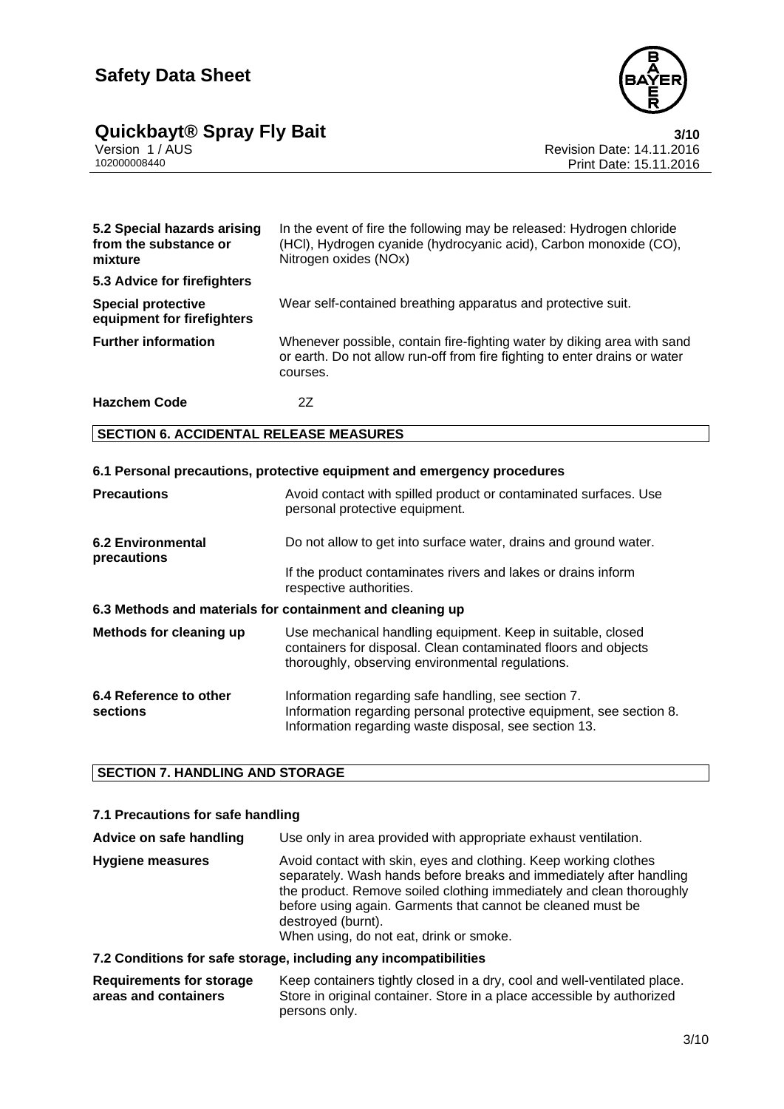

# **Quickbayt® Spray Fly Bait**<br>Version 1/AUS<br>Revision Date: 14.11.2016

Version 1 / AUS Revision Date: 14.11.2016 Print Date: 15.11.2016

| 5.2 Special hazards arising<br>from the substance or<br>mixture | In the event of fire the following may be released: Hydrogen chloride<br>(HCI), Hydrogen cyanide (hydrocyanic acid), Carbon monoxide (CO),<br>Nitrogen oxides (NOx) |
|-----------------------------------------------------------------|---------------------------------------------------------------------------------------------------------------------------------------------------------------------|
| 5.3 Advice for firefighters                                     |                                                                                                                                                                     |
| <b>Special protective</b><br>equipment for firefighters         | Wear self-contained breathing apparatus and protective suit.                                                                                                        |
| <b>Further information</b>                                      | Whenever possible, contain fire-fighting water by diking area with sand<br>or earth. Do not allow run-off from fire fighting to enter drains or water<br>courses.   |
| <b>Hazchem Code</b>                                             | 2Ζ                                                                                                                                                                  |

# **SECTION 6. ACCIDENTAL RELEASE MEASURES**

| 6.1 Personal precautions, protective equipment and emergency procedures |                                                                                                                                                                                     |  |
|-------------------------------------------------------------------------|-------------------------------------------------------------------------------------------------------------------------------------------------------------------------------------|--|
| <b>Precautions</b>                                                      | Avoid contact with spilled product or contaminated surfaces. Use<br>personal protective equipment.                                                                                  |  |
| <b>6.2 Environmental</b><br>precautions                                 | Do not allow to get into surface water, drains and ground water.                                                                                                                    |  |
|                                                                         | If the product contaminates rivers and lakes or drains inform<br>respective authorities.                                                                                            |  |
| 6.3 Methods and materials for containment and cleaning up               |                                                                                                                                                                                     |  |
| Methods for cleaning up                                                 | Use mechanical handling equipment. Keep in suitable, closed<br>containers for disposal. Clean contaminated floors and objects<br>thoroughly, observing environmental regulations.   |  |
| 6.4 Reference to other<br>sections                                      | Information regarding safe handling, see section 7.<br>Information regarding personal protective equipment, see section 8.<br>Information regarding waste disposal, see section 13. |  |

# **SECTION 7. HANDLING AND STORAGE**

# **7.1 Precautions for safe handling**

| Advice on safe handling | Use only in area provided with appropriate exhaust ventilation.                                                                                                                                                                                                                                                                                 |
|-------------------------|-------------------------------------------------------------------------------------------------------------------------------------------------------------------------------------------------------------------------------------------------------------------------------------------------------------------------------------------------|
| <b>Hygiene measures</b> | Avoid contact with skin, eyes and clothing. Keep working clothes<br>separately. Wash hands before breaks and immediately after handling<br>the product. Remove soiled clothing immediately and clean thoroughly<br>before using again. Garments that cannot be cleaned must be<br>destroyed (burnt).<br>When using, do not eat, drink or smoke. |
|                         | 7.2 Conditions for safe storage including any incompatibilities                                                                                                                                                                                                                                                                                 |

#### **7.2 Conditions for safe storage, including any incompatibilities**

#### **Requirements for storage areas and containers** Keep containers tightly closed in a dry, cool and well-ventilated place. Store in original container. Store in a place accessible by authorized persons only.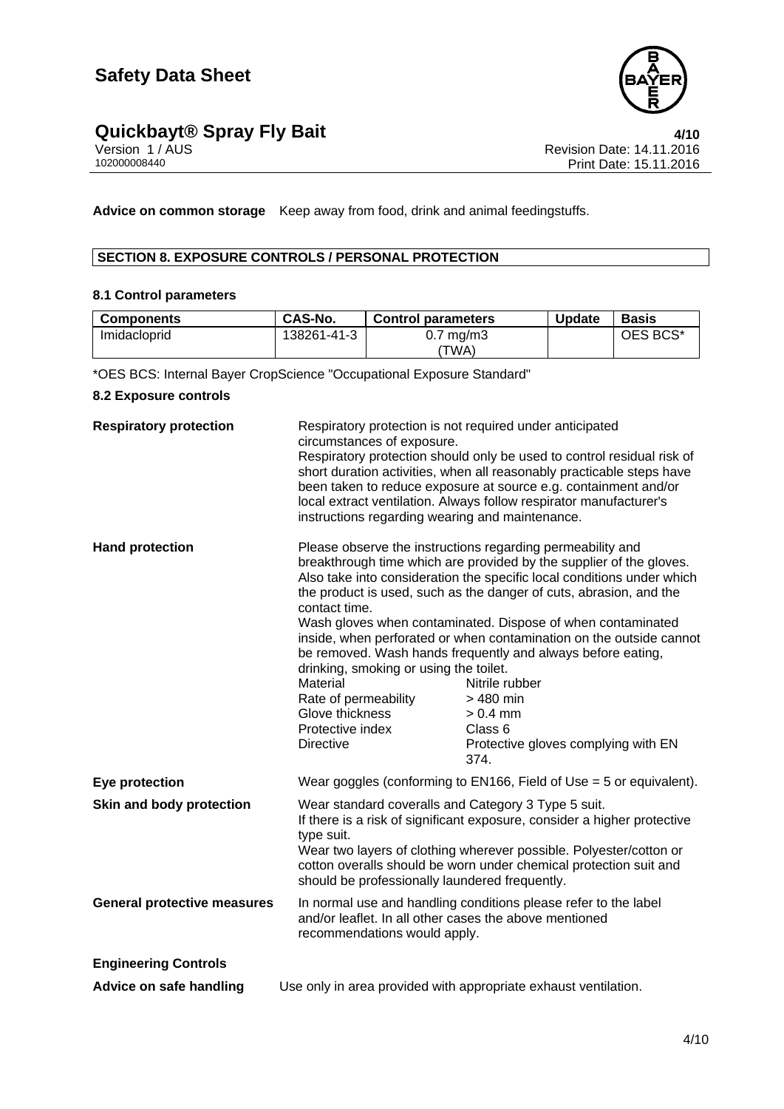

# **Quickbayt® Spray Fly Bait 4/10**

**Advice on common storage** Keep away from food, drink and animal feedingstuffs.

# **SECTION 8. EXPOSURE CONTROLS / PERSONAL PROTECTION**

### **8.1 Control parameters**

| <b>Components</b> | CAS-No.     | <b>Control parameters</b> | <b>Update</b> | <b>Basis</b> |
|-------------------|-------------|---------------------------|---------------|--------------|
| Imidacloprid      | 138261-41-3 | $0.7 \text{ mg/m}$ 3      |               | OES BCS*     |
|                   |             | TWA).                     |               |              |

\*OES BCS: Internal Bayer CropScience "Occupational Exposure Standard"

# **8.2 Exposure controls**

| <b>Respiratory protection</b>      | Respiratory protection is not required under anticipated<br>circumstances of exposure.<br>instructions regarding wearing and maintenance.                                                                                                                                                                                                  | Respiratory protection should only be used to control residual risk of<br>short duration activities, when all reasonably practicable steps have<br>been taken to reduce exposure at source e.g. containment and/or<br>local extract ventilation. Always follow respirator manufacturer's                                                                                                                                                                                                                                                                                                      |
|------------------------------------|--------------------------------------------------------------------------------------------------------------------------------------------------------------------------------------------------------------------------------------------------------------------------------------------------------------------------------------------|-----------------------------------------------------------------------------------------------------------------------------------------------------------------------------------------------------------------------------------------------------------------------------------------------------------------------------------------------------------------------------------------------------------------------------------------------------------------------------------------------------------------------------------------------------------------------------------------------|
| <b>Hand protection</b>             | contact time.<br>drinking, smoking or using the toilet.<br>Material<br>Rate of permeability<br>Glove thickness<br>Protective index<br><b>Directive</b>                                                                                                                                                                                     | Please observe the instructions regarding permeability and<br>breakthrough time which are provided by the supplier of the gloves.<br>Also take into consideration the specific local conditions under which<br>the product is used, such as the danger of cuts, abrasion, and the<br>Wash gloves when contaminated. Dispose of when contaminated<br>inside, when perforated or when contamination on the outside cannot<br>be removed. Wash hands frequently and always before eating,<br>Nitrile rubber<br>> 480 min<br>$> 0.4$ mm<br>Class 6<br>Protective gloves complying with EN<br>374. |
| Eye protection                     |                                                                                                                                                                                                                                                                                                                                            | Wear goggles (conforming to EN166, Field of Use $=$ 5 or equivalent).                                                                                                                                                                                                                                                                                                                                                                                                                                                                                                                         |
| Skin and body protection           | Wear standard coveralls and Category 3 Type 5 suit.<br>If there is a risk of significant exposure, consider a higher protective<br>type suit.<br>Wear two layers of clothing wherever possible. Polyester/cotton or<br>cotton overalls should be worn under chemical protection suit and<br>should be professionally laundered frequently. |                                                                                                                                                                                                                                                                                                                                                                                                                                                                                                                                                                                               |
| <b>General protective measures</b> | and/or leaflet. In all other cases the above mentioned<br>recommendations would apply.                                                                                                                                                                                                                                                     | In normal use and handling conditions please refer to the label                                                                                                                                                                                                                                                                                                                                                                                                                                                                                                                               |
| <b>Engineering Controls</b>        |                                                                                                                                                                                                                                                                                                                                            |                                                                                                                                                                                                                                                                                                                                                                                                                                                                                                                                                                                               |
| Advice on safe handling            |                                                                                                                                                                                                                                                                                                                                            | Use only in area provided with appropriate exhaust ventilation.                                                                                                                                                                                                                                                                                                                                                                                                                                                                                                                               |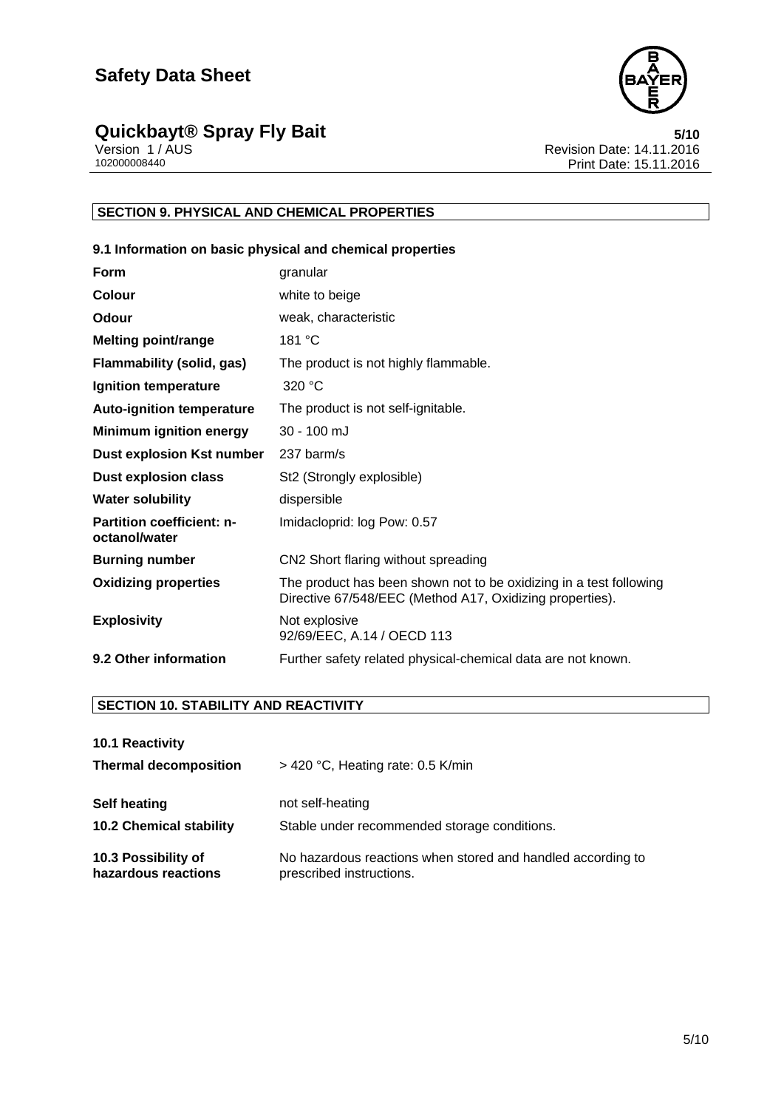

# **Quickbayt® Spray Fly Bait 5/10**

Version 1 / AUS Revision Date: 14.11.2016 102000008440 Print Date: 15.11.2016

# **SECTION 9. PHYSICAL AND CHEMICAL PROPERTIES**

# **9.1 Information on basic physical and chemical properties**

| <b>Form</b>                                       | granular                                                                                                                       |
|---------------------------------------------------|--------------------------------------------------------------------------------------------------------------------------------|
| Colour                                            | white to beige                                                                                                                 |
| Odour                                             | weak, characteristic                                                                                                           |
| <b>Melting point/range</b>                        | 181 °C                                                                                                                         |
| Flammability (solid, gas)                         | The product is not highly flammable.                                                                                           |
| Ignition temperature                              | 320 °C                                                                                                                         |
| <b>Auto-ignition temperature</b>                  | The product is not self-ignitable.                                                                                             |
| <b>Minimum ignition energy</b>                    | $30 - 100$ mJ                                                                                                                  |
| <b>Dust explosion Kst number</b>                  | 237 barm/s                                                                                                                     |
| <b>Dust explosion class</b>                       | St <sub>2</sub> (Strongly explosible)                                                                                          |
| <b>Water solubility</b>                           | dispersible                                                                                                                    |
| <b>Partition coefficient: n-</b><br>octanol/water | Imidacloprid: log Pow: 0.57                                                                                                    |
| <b>Burning number</b>                             | CN2 Short flaring without spreading                                                                                            |
| <b>Oxidizing properties</b>                       | The product has been shown not to be oxidizing in a test following<br>Directive 67/548/EEC (Method A17, Oxidizing properties). |
| <b>Explosivity</b>                                | Not explosive<br>92/69/EEC, A.14 / OECD 113                                                                                    |
| 9.2 Other information                             | Further safety related physical-chemical data are not known.                                                                   |

# **SECTION 10. STABILITY AND REACTIVITY**

| 10.1 Reactivity |  |
|-----------------|--|
|-----------------|--|

| <b>Thermal decomposition</b>   | $>$ 420 °C, Heating rate: 0.5 K/min                         |
|--------------------------------|-------------------------------------------------------------|
| Self heating                   | not self-heating                                            |
| <b>10.2 Chemical stability</b> | Stable under recommended storage conditions.                |
| 10.3 Possibility of            | No hazardous reactions when stored and handled according to |
| hazardous reactions            | prescribed instructions.                                    |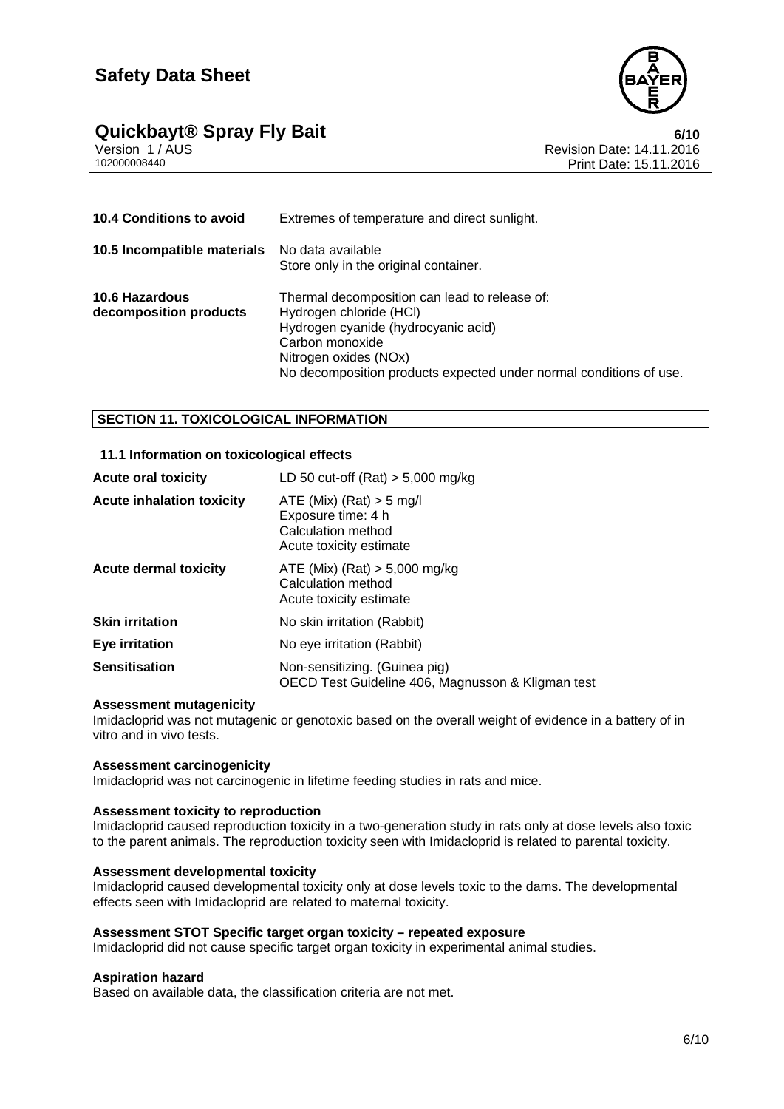



Version 1 / AUS Revision Date: 14.11.2016 Print Date: 15.11.2016

| <b>10.4 Conditions to avoid</b>                 | Extremes of temperature and direct sunlight.                                                                                                                                                                                      |
|-------------------------------------------------|-----------------------------------------------------------------------------------------------------------------------------------------------------------------------------------------------------------------------------------|
| 10.5 Incompatible materials                     | No data available<br>Store only in the original container.                                                                                                                                                                        |
| <b>10.6 Hazardous</b><br>decomposition products | Thermal decomposition can lead to release of:<br>Hydrogen chloride (HCI)<br>Hydrogen cyanide (hydrocyanic acid)<br>Carbon monoxide<br>Nitrogen oxides (NOx)<br>No decomposition products expected under normal conditions of use. |

# **SECTION 11. TOXICOLOGICAL INFORMATION**

### **11.1 Information on toxicological effects**

| <b>Acute oral toxicity</b>       | LD 50 cut-off $(Rat) > 5,000$ mg/kg                                                               |
|----------------------------------|---------------------------------------------------------------------------------------------------|
| <b>Acute inhalation toxicity</b> | ATE (Mix) (Rat) $>$ 5 mg/l<br>Exposure time: 4 h<br>Calculation method<br>Acute toxicity estimate |
| <b>Acute dermal toxicity</b>     | ATE (Mix) (Rat) $> 5,000$ mg/kg<br>Calculation method<br>Acute toxicity estimate                  |
| <b>Skin irritation</b>           | No skin irritation (Rabbit)                                                                       |
| Eye irritation                   | No eye irritation (Rabbit)                                                                        |
| <b>Sensitisation</b>             | Non-sensitizing. (Guinea pig)<br>OECD Test Guideline 406, Magnusson & Kligman test                |

#### **Assessment mutagenicity**

Imidacloprid was not mutagenic or genotoxic based on the overall weight of evidence in a battery of in vitro and in vivo tests.

#### **Assessment carcinogenicity**

Imidacloprid was not carcinogenic in lifetime feeding studies in rats and mice.

#### **Assessment toxicity to reproduction**

Imidacloprid caused reproduction toxicity in a two-generation study in rats only at dose levels also toxic to the parent animals. The reproduction toxicity seen with Imidacloprid is related to parental toxicity.

#### **Assessment developmental toxicity**

Imidacloprid caused developmental toxicity only at dose levels toxic to the dams. The developmental effects seen with Imidacloprid are related to maternal toxicity.

#### **Assessment STOT Specific target organ toxicity – repeated exposure**

Imidacloprid did not cause specific target organ toxicity in experimental animal studies.

#### **Aspiration hazard**

Based on available data, the classification criteria are not met.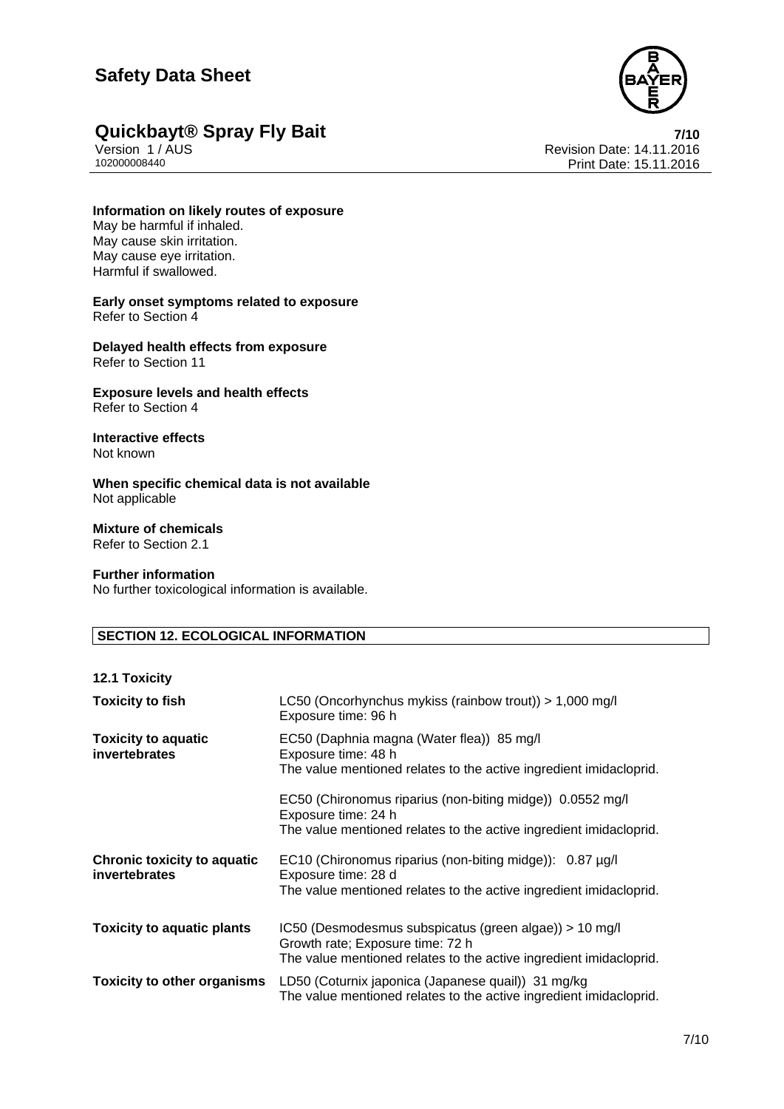# **Safety Data Sheet**



# **Quickbayt® Spray Fly Bait**<br>*Version 1/AUS* **/ Revision Date: 14.11.2016**

Version 1 / AUS Revision Date: 14.11.2016 Print Date: 15.11.2016

# **Information on likely routes of exposure**

May be harmful if inhaled. May cause skin irritation. May cause eye irritation. Harmful if swallowed.

#### **Early onset symptoms related to exposure**  Refer to Section 4

**Delayed health effects from exposure**  Refer to Section 11

#### **Exposure levels and health effects**  Refer to Section 4

#### **Interactive effects**  Not known

**When specific chemical data is not available**  Not applicable

#### **Mixture of chemicals**  Refer to Section 2.1

# **Further information**

No further toxicological information is available.

# **SECTION 12. ECOLOGICAL INFORMATION**

# **12.1 Toxicity**

| <b>Toxicity to fish</b>                             | LC50 (Oncorhynchus mykiss (rainbow trout)) > $1,000 \text{ mg/l}$<br>Exposure time: 96 h                                                                         |
|-----------------------------------------------------|------------------------------------------------------------------------------------------------------------------------------------------------------------------|
| <b>Toxicity to aquatic</b><br>invertebrates         | EC50 (Daphnia magna (Water flea)) 85 mg/l<br>Exposure time: 48 h<br>The value mentioned relates to the active ingredient imidacloprid.                           |
|                                                     | EC50 (Chironomus riparius (non-biting midge)) 0.0552 mg/l<br>Exposure time: 24 h<br>The value mentioned relates to the active ingredient imidacloprid.           |
| <b>Chronic toxicity to aquatic</b><br>invertebrates | EC10 (Chironomus riparius (non-biting midge)): 0.87 µg/l<br>Exposure time: 28 d<br>The value mentioned relates to the active ingredient imidacloprid.            |
| <b>Toxicity to aquatic plants</b>                   | IC50 (Desmodesmus subspicatus (green algae)) > 10 mg/l<br>Growth rate; Exposure time: 72 h<br>The value mentioned relates to the active ingredient imidacloprid. |
| <b>Toxicity to other organisms</b>                  | LD50 (Coturnix japonica (Japanese quail)) 31 mg/kg<br>The value mentioned relates to the active ingredient imidacloprid.                                         |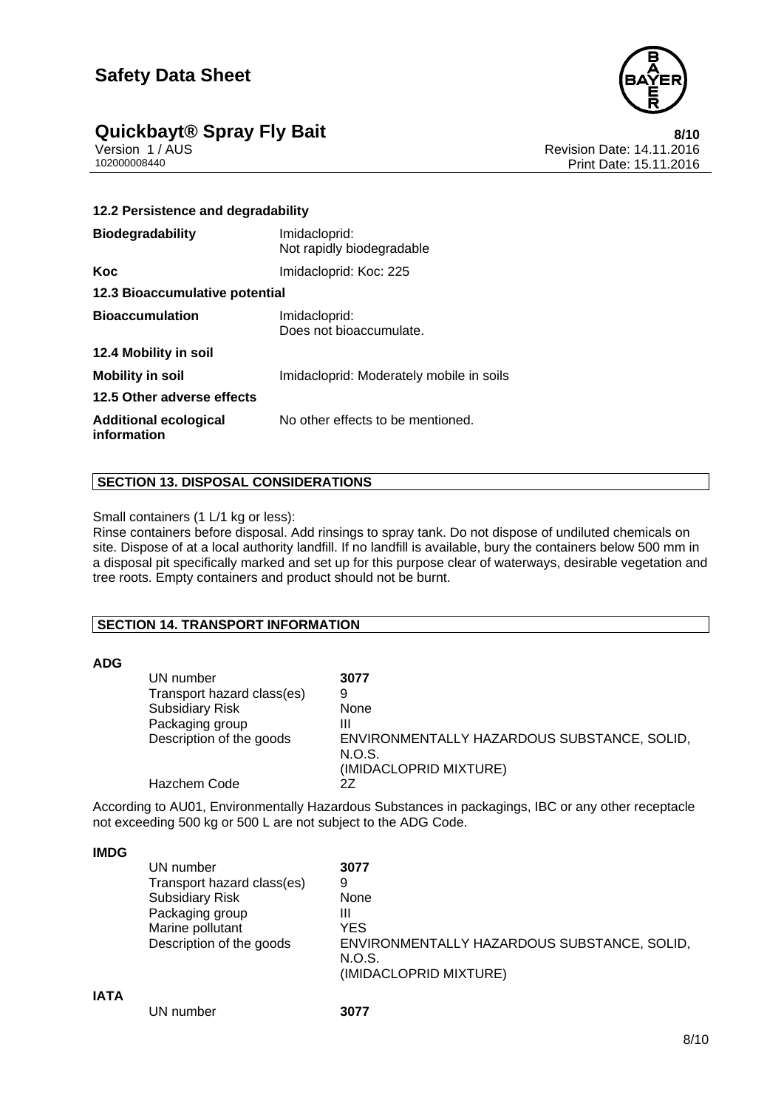

# **Quickbayt® Spray Fly Bait**<br>**8/10** Version 1/AUS **8/10** Revision Date: 14.11.2016

Version 1 / AUS<br>102000008440<br>Print Date: 15.11.2016 Print Date: 15.11.2016

| 12.2 Persistence and degradability          |                                            |  |
|---------------------------------------------|--------------------------------------------|--|
| <b>Biodegradability</b>                     | Imidacloprid:<br>Not rapidly biodegradable |  |
| Koc                                         | Imidacloprid: Koc: 225                     |  |
| 12.3 Bioaccumulative potential              |                                            |  |
| <b>Bioaccumulation</b>                      | Imidacloprid:<br>Does not bioaccumulate.   |  |
| 12.4 Mobility in soil                       |                                            |  |
| <b>Mobility in soil</b>                     | Imidacloprid: Moderately mobile in soils   |  |
| 12.5 Other adverse effects                  |                                            |  |
| <b>Additional ecological</b><br>information | No other effects to be mentioned.          |  |

# **SECTION 13. DISPOSAL CONSIDERATIONS**

Small containers (1 L/1 kg or less):

Rinse containers before disposal. Add rinsings to spray tank. Do not dispose of undiluted chemicals on site. Dispose of at a local authority landfill. If no landfill is available, bury the containers below 500 mm in a disposal pit specifically marked and set up for this purpose clear of waterways, desirable vegetation and tree roots. Empty containers and product should not be burnt.

# **SECTION 14. TRANSPORT INFORMATION**

# **ADG**

| UN number                  | 3077                                                  |
|----------------------------|-------------------------------------------------------|
| Transport hazard class(es) | 9                                                     |
| <b>Subsidiary Risk</b>     | None                                                  |
| Packaging group            | Ш                                                     |
| Description of the goods   | ENVIRONMENTALLY HAZARDOUS SUBSTANCE, SOLID,<br>N.O.S. |
|                            | (IMIDACLOPRID MIXTURE)                                |
| Hazchem Code               | 27                                                    |

According to AU01, Environmentally Hazardous Substances in packagings, IBC or any other receptacle not exceeding 500 kg or 500 L are not subject to the ADG Code.

### **IMDG**

| ┉           |                            |                                                       |
|-------------|----------------------------|-------------------------------------------------------|
|             | UN number                  | 3077                                                  |
|             | Transport hazard class(es) | 9                                                     |
|             | <b>Subsidiary Risk</b>     | None                                                  |
|             | Packaging group            | Ш                                                     |
|             | Marine pollutant           | <b>YES</b>                                            |
|             | Description of the goods   | ENVIRONMENTALLY HAZARDOUS SUBSTANCE, SOLID,<br>N.O.S. |
|             |                            | (IMIDACLOPRID MIXTURE)                                |
| <b>IATA</b> |                            |                                                       |
|             | UN number                  | 3077                                                  |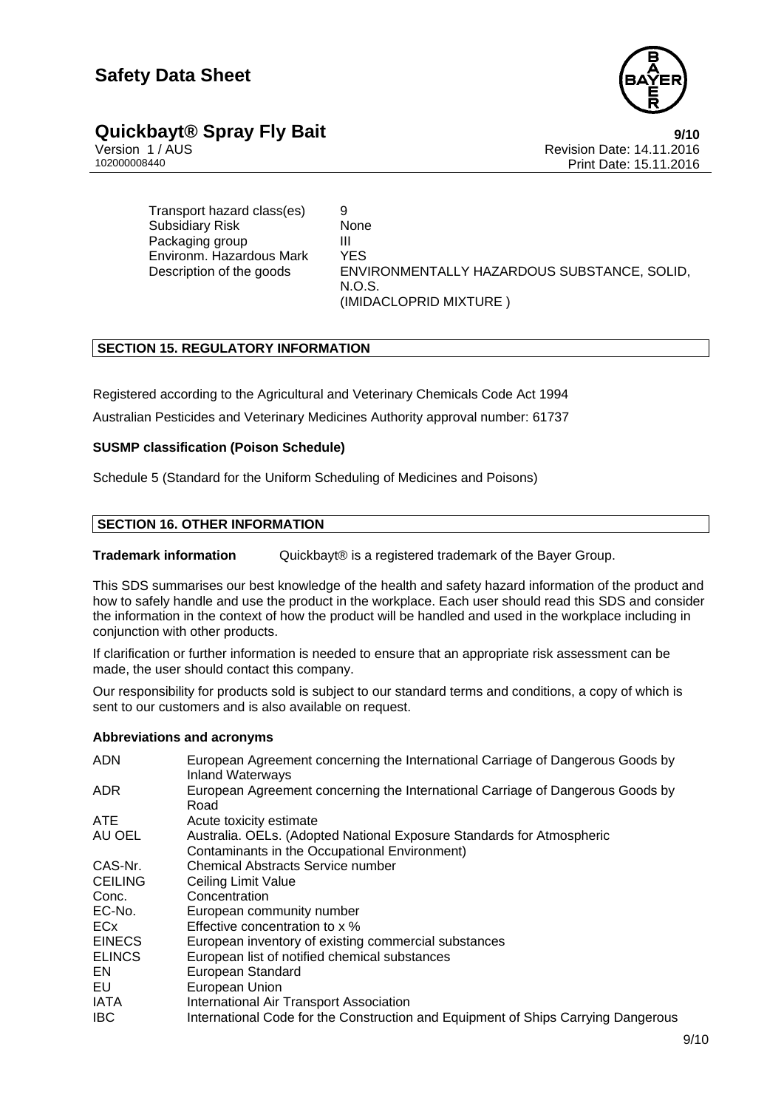

# **Quickbayt® Spray Fly Bait**<br>**9/10** version 1/AUS<br>Revision Date: 14.11.2016

Version 1 / AUS<br>10200008440<br>Revision Date: 14.11.2016 Print Date: 15.11.2016

Transport hazard class(es) 9 Subsidiary Risk None Packaging group<br>Environm, Hazardous Mark YES Environm. Hazardous Mark N.O.S.

Description of the goods ENVIRONMENTALLY HAZARDOUS SUBSTANCE, SOLID, (IMIDACLOPRID MIXTURE )

# **SECTION 15. REGULATORY INFORMATION**

Registered according to the Agricultural and Veterinary Chemicals Code Act 1994 Australian Pesticides and Veterinary Medicines Authority approval number: 61737

# **SUSMP classification (Poison Schedule)**

Schedule 5 (Standard for the Uniform Scheduling of Medicines and Poisons)

# **SECTION 16. OTHER INFORMATION**

**Trademark information** Quickbayt<sup>®</sup> is a registered trademark of the Bayer Group.

This SDS summarises our best knowledge of the health and safety hazard information of the product and how to safely handle and use the product in the workplace. Each user should read this SDS and consider the information in the context of how the product will be handled and used in the workplace including in conjunction with other products.

If clarification or further information is needed to ensure that an appropriate risk assessment can be made, the user should contact this company.

Our responsibility for products sold is subject to our standard terms and conditions, a copy of which is sent to our customers and is also available on request.

# **Abbreviations and acronyms**

| <b>ADN</b>     | European Agreement concerning the International Carriage of Dangerous Goods by<br><b>Inland Waterways</b> |
|----------------|-----------------------------------------------------------------------------------------------------------|
| ADR.           | European Agreement concerning the International Carriage of Dangerous Goods by<br>Road                    |
| <b>ATE</b>     | Acute toxicity estimate                                                                                   |
| AU OEL         | Australia. OELs. (Adopted National Exposure Standards for Atmospheric                                     |
|                | Contaminants in the Occupational Environment)                                                             |
| CAS-Nr.        | <b>Chemical Abstracts Service number</b>                                                                  |
| <b>CEILING</b> | Ceiling Limit Value                                                                                       |
| Conc.          | Concentration                                                                                             |
| EC-No.         | European community number                                                                                 |
| ECx            | Effective concentration to x %                                                                            |
| <b>EINECS</b>  | European inventory of existing commercial substances                                                      |
| <b>ELINCS</b>  | European list of notified chemical substances                                                             |
| EN.            | European Standard                                                                                         |
| EU.            | European Union                                                                                            |
| IATA           | International Air Transport Association                                                                   |
| <b>IBC</b>     | International Code for the Construction and Equipment of Ships Carrying Dangerous                         |